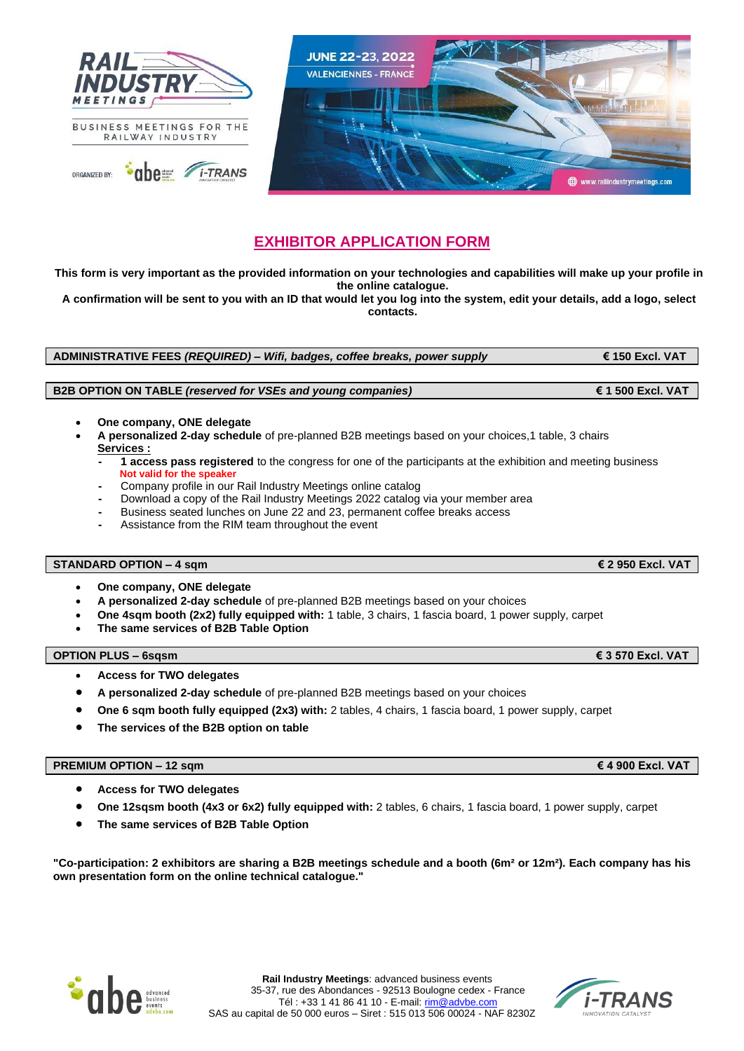

# **EXHIBITOR APPLICATION FORM**

**This form is very important as the provided information on your technologies and capabilities will make up your profile in the online catalogue.**

**A confirmation will be sent to you with an ID that would let you log into the system, edit your details, add a logo, select contacts.**

**ADMINISTRATIVE FEES** *(REQUIRED) – Wifi, badges, coffee breaks, power supply* **€ 150 Excl. VAT**

## **B2B OPTION ON TABLE** *(reserved for VSEs and young companies)* **€ 1 500 Excl. VAT**

- **One company, ONE delegate**
- **A personalized 2-day schedule** of pre-planned B2B meetings based on your choices,1 table, 3 chairs **Services :**
	- **- 1 access pass registered** to the congress for one of the participants at the exhibition and meeting business  **Not valid for the speaker**
	- **-** Company profile in our Rail Industry Meetings online catalog
	- **-** Download a copy of the Rail Industry Meetings 2022 catalog via your member area
	- **-** Business seated lunches on June 22 and 23, permanent coffee breaks access
	- **-** Assistance from the RIM team throughout the event

## **STANDARD OPTION – 4 sqm € 2 950 Excl. VAT**

- **One company, ONE delegate**
- **A personalized 2-day schedule** of pre-planned B2B meetings based on your choices
- **One 4sqm booth (2x2) fully equipped with:** 1 table, 3 chairs, 1 fascia board, 1 power supply, carpet
- **The same services of B2B Table Option**

### **OPTION PLUS – 6sqsm € 3 570 Excl. VAT**

- **Access for TWO delegates**
- **A personalized 2-day schedule** of pre-planned B2B meetings based on your choices
- **One 6 sqm booth fully equipped (2x3) with:** 2 tables, 4 chairs, 1 fascia board, 1 power supply, carpet
- **The services of the B2B option on table**

#### **PREMIUM OPTION – 12 sqm € 4 900 Excl. VAT**

- **Access for TWO delegates**
- **One 12sqsm booth (4x3 or 6x2) fully equipped with:** 2 tables, 6 chairs, 1 fascia board, 1 power supply, carpet
- **The same services of B2B Table Option**

**"Co-participation: 2 exhibitors are sharing a B2B meetings schedule and a booth (6m² or 12m²). Each company has his own presentation form on the online technical catalogue."**



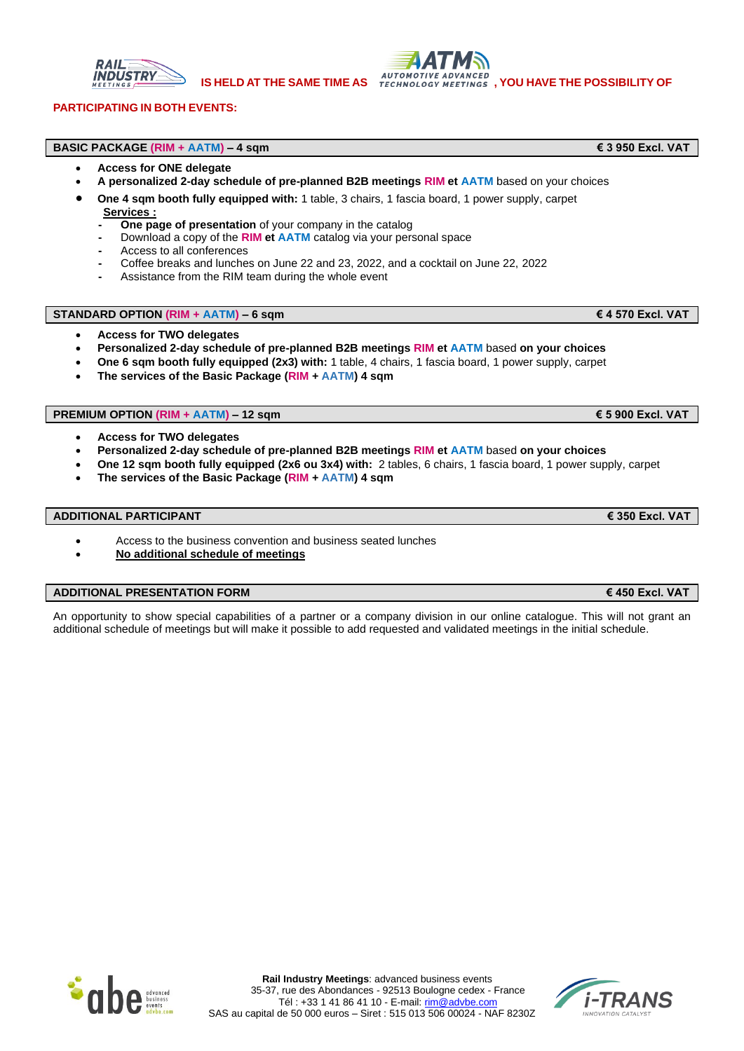

## **PARTICIPATING IN BOTH EVENTS:**

### **BASIC PACKAGE (RIM + AATM) – 4 sqm € 3 950 Excl. VAT**

- **Access for ONE delegate**
	- **A personalized 2-day schedule of pre-planned B2B meetings RIM et AATM** based on your choices
	- **One 4 sqm booth fully equipped with:** 1 table, 3 chairs, 1 fascia board, 1 power supply, carpet  **Services :**
		- **- One page of presentation** of your company in the catalog
		- **-** Download a copy of the **RIM et AATM** catalog via your personal space
		- **-** Access to all conferences
		- **-** Coffee breaks and lunches on June 22 and 23, 2022, and a cocktail on June 22, 2022
		- **-** Assistance from the RIM team during the whole event

# **STANDARD OPTION (RIM + AATM) – 6 sqm € 4 570 Excl. VAT**

- **Access for TWO delegates**
- **Personalized 2-day schedule of pre-planned B2B meetings RIM et AATM** based **on your choices**
- **One 6 sqm booth fully equipped (2x3) with:** 1 table, 4 chairs, 1 fascia board, 1 power supply, carpet
- **The services of the Basic Package (RIM + AATM) 4 sqm**

# **PREMIUM OPTION (RIM + AATM) – 12 sqm € 5 900 Excl. VAT**

- **Access for TWO delegates**
- **Personalized 2-day schedule of pre-planned B2B meetings RIM et AATM** based **on your choices**
- **One 12 sqm booth fully equipped (2x6 ou 3x4) with:** 2 tables, 6 chairs, 1 fascia board, 1 power supply, carpet
- **The services of the Basic Package (RIM + AATM) 4 sqm**

#### **ADDITIONAL PARTICIPANT € 350 Excl. VAT**

- Access to the business convention and business seated lunches
- **No additional schedule of meetings**

#### **ADDITIONAL PRESENTATION FORM € 450 Excl. VAT**

An opportunity to show special capabilities of a partner or a company division in our online catalogue. This will not grant an additional schedule of meetings but will make it possible to add requested and validated meetings in the initial schedule.



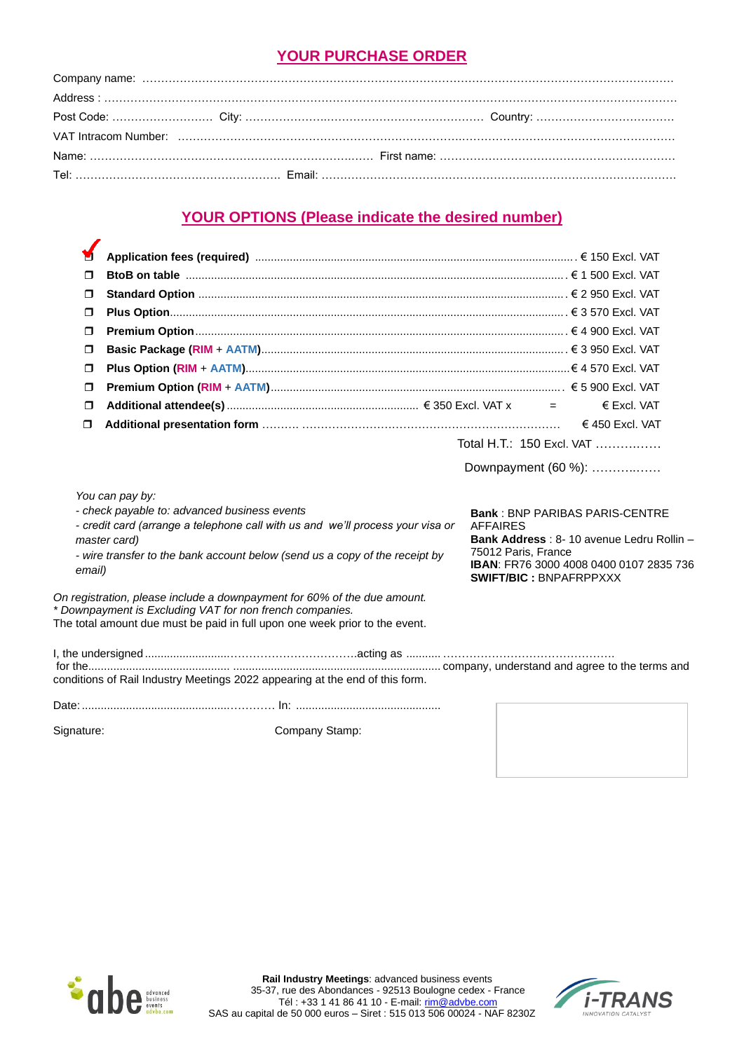# **YOUR PURCHASE ORDER**

# **YOUR OPTIONS (Please indicate the desired number)**

| y      |                                                                                                                                                                                                                               |                                                                         |                                                                                                                                     |
|--------|-------------------------------------------------------------------------------------------------------------------------------------------------------------------------------------------------------------------------------|-------------------------------------------------------------------------|-------------------------------------------------------------------------------------------------------------------------------------|
| $\Box$ |                                                                                                                                                                                                                               |                                                                         |                                                                                                                                     |
| $\Box$ |                                                                                                                                                                                                                               |                                                                         |                                                                                                                                     |
| $\Box$ |                                                                                                                                                                                                                               |                                                                         |                                                                                                                                     |
| $\Box$ |                                                                                                                                                                                                                               |                                                                         |                                                                                                                                     |
| $\Box$ |                                                                                                                                                                                                                               |                                                                         |                                                                                                                                     |
| $\Box$ |                                                                                                                                                                                                                               |                                                                         |                                                                                                                                     |
| $\Box$ |                                                                                                                                                                                                                               |                                                                         |                                                                                                                                     |
| $\Box$ |                                                                                                                                                                                                                               |                                                                         | € Excl. VAT                                                                                                                         |
| Ω      |                                                                                                                                                                                                                               |                                                                         | € 450 Excl. VAT                                                                                                                     |
|        |                                                                                                                                                                                                                               | Total H.T.: 150 Excl. VAT                                               |                                                                                                                                     |
|        |                                                                                                                                                                                                                               | Downpayment (60 %):                                                     |                                                                                                                                     |
|        | You can pay by:                                                                                                                                                                                                               |                                                                         |                                                                                                                                     |
| email) | - check payable to: advanced business events<br>- credit card (arrange a telephone call with us and we'll process your visa or<br>master card)<br>- wire transfer to the bank account below (send us a copy of the receipt by | <b>AFFAIRES</b><br>75012 Paris, France<br><b>SWIFT/BIC: BNPAFRPPXXX</b> | <b>Bank: BNP PARIBAS PARIS-CENTRE</b><br>Bank Address: 8-10 avenue Ledru Rollin -<br><b>IBAN: FR76 3000 4008 0400 0107 2835 736</b> |
|        | On registration, please include a downpayment for 60% of the due amount.<br>* Downpayment is Excluding VAT for non french companies.<br>The total amount due must be paid in full upon one week prior to the event.           |                                                                         |                                                                                                                                     |
|        | conditions of Rail Industry Meetings 2022 appearing at the end of this form.                                                                                                                                                  |                                                                         |                                                                                                                                     |
|        |                                                                                                                                                                                                                               |                                                                         |                                                                                                                                     |

 $\mathbf{r}$ 

Signature: Company Stamp:



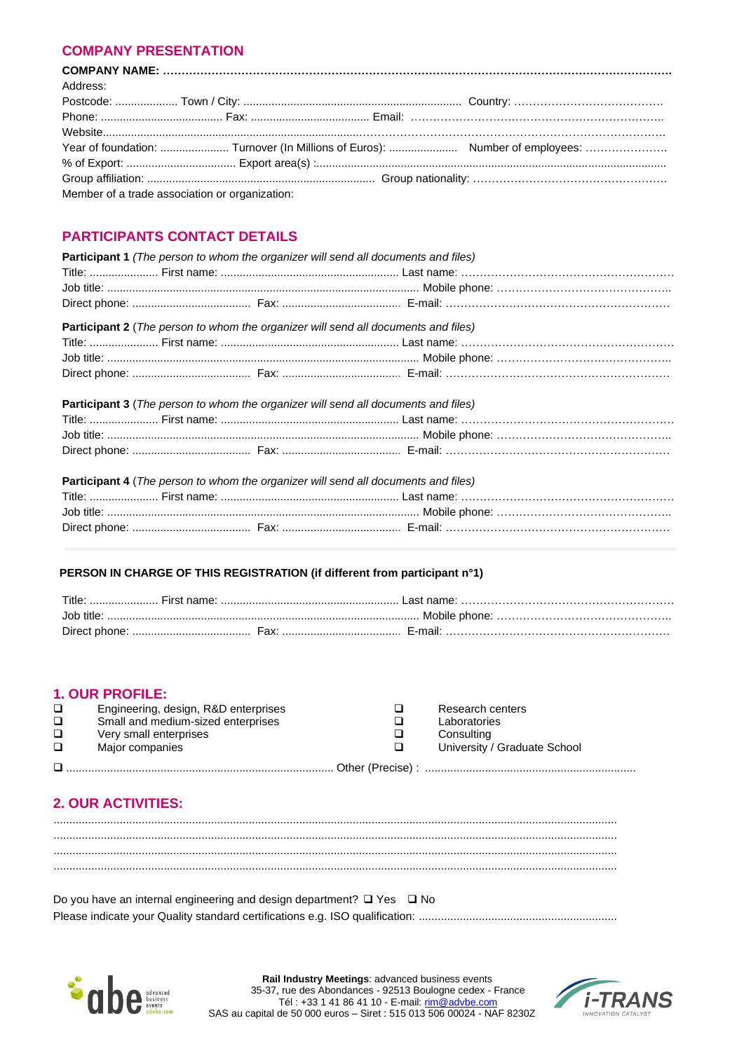# **COMPANY PRESENTATION**

| Address: |                                                |  |  |
|----------|------------------------------------------------|--|--|
|          |                                                |  |  |
|          |                                                |  |  |
|          |                                                |  |  |
|          |                                                |  |  |
|          |                                                |  |  |
|          |                                                |  |  |
|          | Member of a trade association or organization: |  |  |

# **PARTICIPANTS CONTACT DETAILS**

| <b>Participant 1</b> (The person to whom the organizer will send all documents and files) |  |
|-------------------------------------------------------------------------------------------|--|
|                                                                                           |  |
|                                                                                           |  |
|                                                                                           |  |
| <b>Participant 2</b> (The person to whom the organizer will send all documents and files) |  |
|                                                                                           |  |
|                                                                                           |  |
|                                                                                           |  |
| <b>Participant 3</b> (The person to whom the organizer will send all documents and files) |  |
|                                                                                           |  |
|                                                                                           |  |
|                                                                                           |  |
| Participant 4 (The person to whom the organizer will send all documents and files)        |  |
|                                                                                           |  |
|                                                                                           |  |
|                                                                                           |  |

# PERSON IN CHARGE OF THIS REGISTRATION (if different from participant n°1)

| Title:     |            |  |
|------------|------------|--|
| .lob title |            |  |
|            | - F-mail - |  |

# **1. OUR PROFILE:**

| □      | Engineering, design, R&D enterprises | Research centers             |
|--------|--------------------------------------|------------------------------|
| $\Box$ | Small and medium-sized enterprises   | Laboratories                 |
| $\Box$ | Very small enterprises               | Consulting                   |
| $\Box$ | Major companies                      | University / Graduate School |
|        |                                      |                              |

# **2. OUR ACTIVITIES:**

Do you have an internal engineering and design department?  $\Box$  Yes  $\Box$  No 



Rail Industry Meetings: advanced business events<br>35-37, rue des Abondances - 92513 Boulogne cedex - France Tél: +33 1 41 86 41 10 - E-mail: rim@advbe.com SAS au capital de 50 000 euros - Siret : 515 013 506 00024 - NAF 8230Z

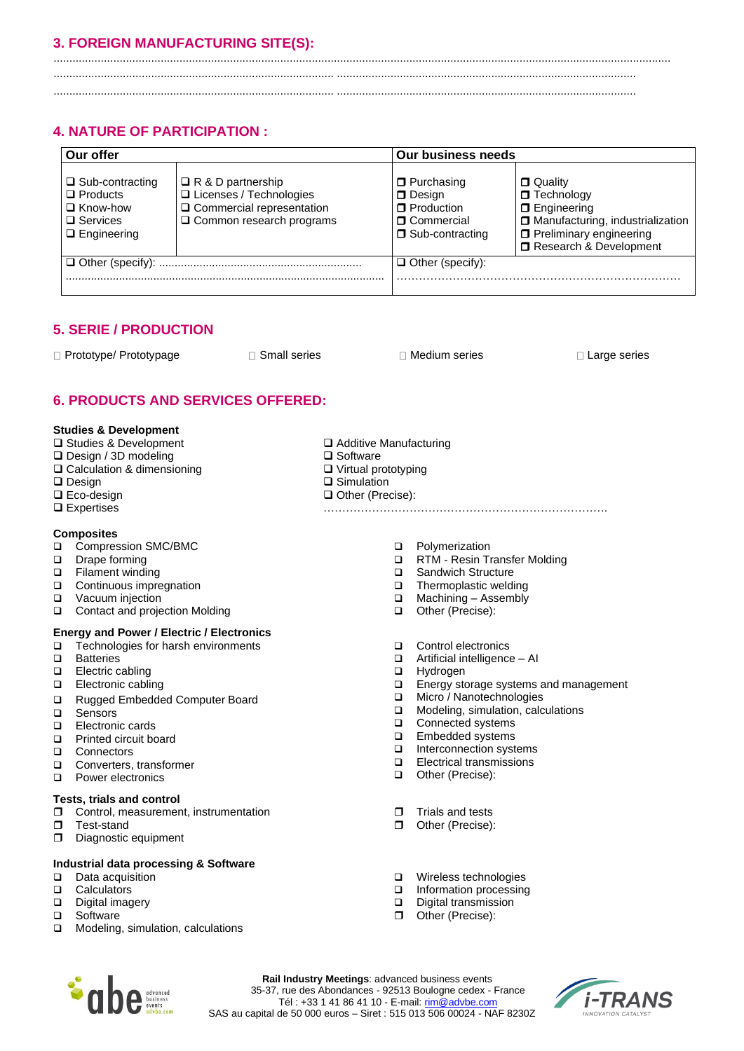# **3. FOREIGN MANUFACTURING SITE(S):**

.................................................................................................................................................................................................... ......................................................................................... ...............................................................................................

......................................................................................... ...............................................................................................

# **4. NATURE OF PARTICIPATION :**

| Our offer                                                                                                |                                                                                                                    | <b>Our business needs</b>                                                                   |                                                                                                                                                             |  |  |  |
|----------------------------------------------------------------------------------------------------------|--------------------------------------------------------------------------------------------------------------------|---------------------------------------------------------------------------------------------|-------------------------------------------------------------------------------------------------------------------------------------------------------------|--|--|--|
| $\Box$ Sub-contracting<br>$\Box$ Products<br>$\Box$ Know-how<br>$\square$ Services<br>$\Box$ Engineering | $\Box$ R & D partnership<br>□ Licenses / Technologies<br>□ Commercial representation<br>□ Common research programs | <b>D</b> Purchasing<br>D Design<br><b>O</b> Production<br>□ Commercial<br>□ Sub-contracting | $\Box$ Quality<br>$\Box$ Technology<br>$\Box$ Engineering<br>Manufacturing, industrialization<br><b>D</b> Preliminary engineering<br>Research & Development |  |  |  |
|                                                                                                          |                                                                                                                    | $\Box$ Other (specify):                                                                     |                                                                                                                                                             |  |  |  |

❑ Additive Manufacturing

❑ Virtual prototyping ❑ Simulation ❑ Other (Precise):

❑ Software

# **5. SERIE / PRODUCTION**

□ Prototype/ Prototypage Accord Board Small series Accord Development Board Development Board Board Development Board Board Development Board Board Development Board Board Development Board Board Development Board Board B

# **6. PRODUCTS AND SERVICES OFFERED:**

### **Studies & Development**

- ❑ Studies & Development
- ❑ Design / 3D modeling
- ❑ Calculation & dimensioning
- ❑ Design
- ❑ Eco-design
- ❑ Expertises

## **Composites**

- ❑ Compression SMC/BMC
- ❑ Drape forming
- ❑ Filament winding
- ❑ Continuous impregnation
- ❑ Vacuum injection
- ❑ Contact and projection Molding

# **Energy and Power / Electric / Electronics**

- ❑ Technologies for harsh environments
- ❑ Batteries
- ❑ Electric cabling
- ❑ Electronic cabling
- ❑ Rugged Embedded Computer Board
- ❑ Sensors
- ❑ Electronic cards
- ❑ Printed circuit board
- ❑ Connectors
- ❑ Converters, transformer
- ❑ Power electronics

#### **Tests, trials and control**

- **C** Control, measurement, instrumentation
- **Test-stand**
- Diagnostic equipment

# **Industrial data processing & Software**

- ❑ Data acquisition
- ❑ Calculators
- ❑ Digital imagery
- ❑ Software
- ❑ Modeling, simulation, calculations
- ❑ Polymerization
- ❑ RTM Resin Transfer Molding

………………………………………………………………….

- ❑ Sandwich Structure
- ❑ Thermoplastic welding
- ❑ Machining Assembly
- ❑ Other (Precise):
- ❑ Control electronics
- ❑ Artificial intelligence AI
- ❑ Hydrogen
- ❑ Energy storage systems and management
- ❑ Micro / Nanotechnologies
- ❑ Modeling, simulation, calculations
- ❑ Connected systems
- ❑ Embedded systems
- ❑ Interconnection systems
- ❑ Electrical transmissions
- ❑ Other (Precise):
- $\Box$  Trials and tests
- Other (Precise):
- ❑ Wireless technologies
- ❑ Information processing
- ❑ Digital transmission
- Other (Precise):



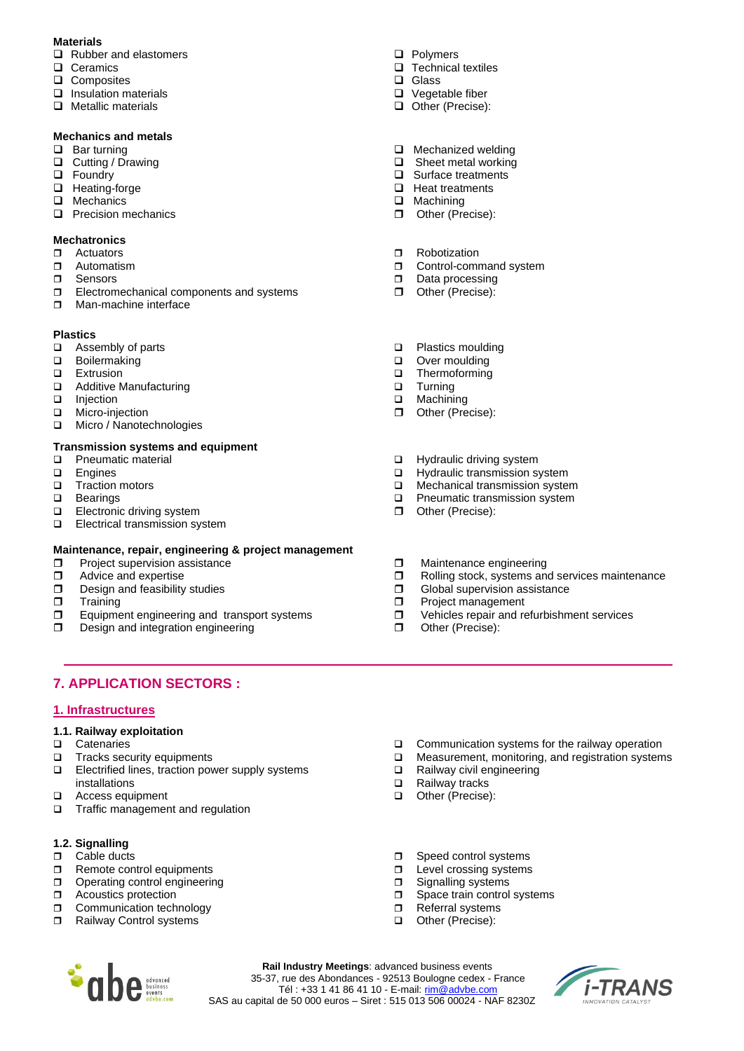# **Materials**

- ❑ Rubber and elastomers
- ❑ Ceramics
- ❑ Composites
- ❑ Insulation materials
- ❑ Metallic materials

# **Mechanics and metals**

- ❑ Bar turning
- ❑ Cutting / Drawing
- ❑ Foundry
- ❑ Heating-forge
- ❑ Mechanics
- ❑ Precision mechanics

# **Mechatronics**

- **D** Actuators
- **D** Automatism
- n Sensors
- Electromechanical components and systems
- **D** Man-machine interface

## **Plastics**

- ❑ Assembly of parts
- ❑ Boilermaking
- 
- ❑ Extrusion Additive Manufacturing
- ❑ Injection
- ❑ Micro-injection
- ❑ Micro / Nanotechnologies

# **Transmission systems and equipment**

- ❑ Pneumatic material
- ❑ Engines
- ❑ Traction motors
- **Bearings**
- ❑ Electronic driving system
- ❑ Electrical transmission system

## **Maintenance, repair, engineering & project management**

- $\Box$  Project supervision assistance
- $\Box$  Advice and expertise<br> $\Box$  Design and feasibility
- Design and feasibility studies
- $\Box$  Training
- **Equipment engineering and transport systems**
- D Design and integration engineering
- ❑ Polymers
- ❑ Technical textiles
- ❑ Glass
- ❑ Vegetable fiber
- ❑ Other (Precise):
- ❑ Mechanized welding
- ❑ Sheet metal working
- ❑ Surface treatments
- ❑ Heat treatments
- ❑ Machining
- Other (Precise):
- **n** Robotization
- **D** Control-command system
- Data processing
- Other (Precise):
- ❑ Plastics moulding
- ❑ Over moulding
- ❑ Thermoforming
- ❑ Turning
- ❑ Machining
- Other (Precise):
- ❑ Hydraulic driving system
- ❑ Hydraulic transmission system
- ❑ Mechanical transmission system
- ❑ Pneumatic transmission system
- Other (Precise):
- $\Box$  Maintenance engineering
- $\square$  Rolling stock, systems and services maintenance  $\square$  Global supervision assistance
- Global supervision assistance
- **Project management**
- □ Vehicles repair and refurbishment services
- Other (Precise):

# **7. APPLICATION SECTORS :**

## **1. Infrastructures**

## **1.1. Railway exploitation**

- ❑ Catenaries
- ❑ Tracks security equipments
- ❑ Electrified lines, traction power supply systems installations
- ❑ Access equipment
- ❑ Traffic management and regulation

# **1.2. Signalling**

- **D** Cable ducts
- Remote control equipments
- Operating control engineering
- **D** Acoustics protection
- **Communication technology**
- □ Railway Control systems
- ❑ Communication systems for the railway operation
- ❑ Measurement, monitoring, and registration systems

*i-TRANS* 

- ❑ Railway civil engineering
- ❑ Railway tracks
- ❑ Other (Precise):
- $\Box$  Speed control systems
- **D** Level crossing systems
- **Signalling systems**
- □ Space train control systems Referral systems
- ❑ Other (Precise):



**Rail Industry Meetings**: advanced business events 35-37, rue des Abondances - 92513 Boulogne cedex - France Tél : +33 1 41 86 41 10 - E-mail: <u>rim@advbe.com</u> SAS au capital de 50 000 euros – Siret : 515 013 506 00024 - NAF 8230Z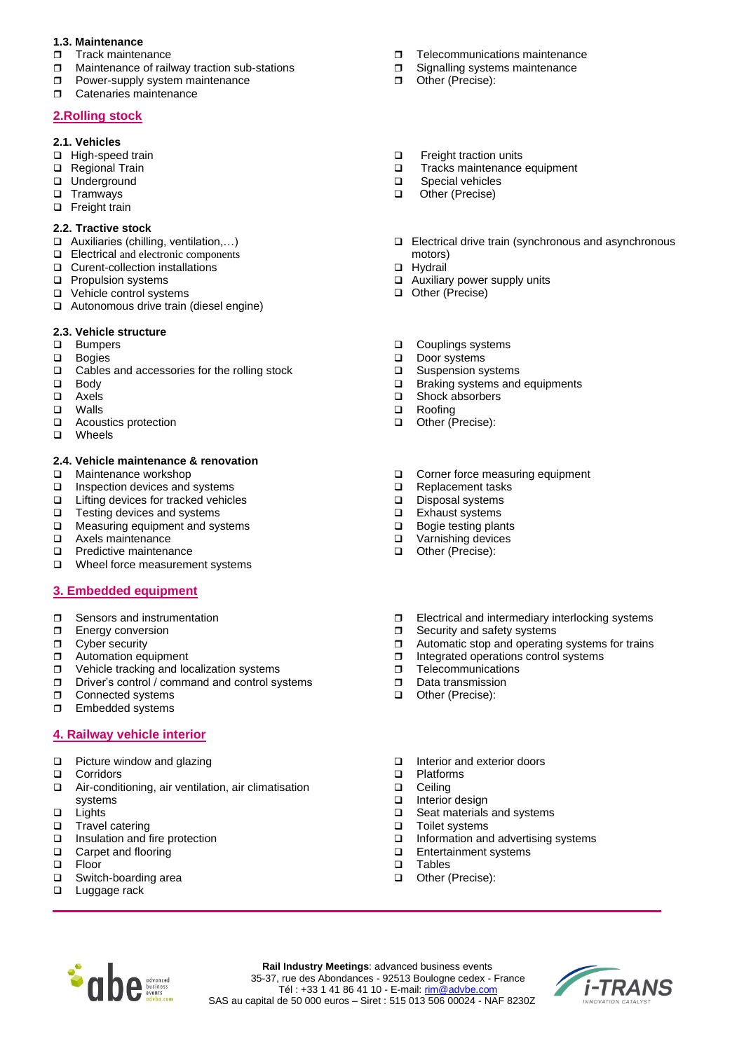# **1.3. Maintenance**

- **Track maintenance**
- □ Maintenance of railway traction sub-stations
- **D** Power-supply system maintenance
- **D** Catenaries maintenance

# **2.Rolling stock**

### **2.1. Vehicles**

- ❑ High-speed train
- ❑ Regional Train
- ❑ Underground
- ❑ Tramways
- ❑ Freight train

## **2.2. Tractive stock**

- ❑ Auxiliaries (chilling, ventilation,…)
- ❑ Electrical and electronic components
- ❑ Curent-collection installations
- ❑ Propulsion systems
- ❑ Vehicle control systems
- ❑ Autonomous drive train (diesel engine)

# **2.3. Vehicle structure**

- ❑ Bumpers
- ❑ Bogies
- ❑ Cables and accessories for the rolling stock
- ❑ Body
- ❑ Axels
- ❑ Walls
- ❑ Acoustics protection
- ❑ Wheels

## **2.4. Vehicle maintenance & renovation**

- ❑ Maintenance workshop
- ❑ Inspection devices and systems
- ❑ Lifting devices for tracked vehicles
- ❑ Testing devices and systems
- ❑ Measuring equipment and systems
- ❑ Axels maintenance
- ❑ Predictive maintenance
- ❑ Wheel force measurement systems

# **3. Embedded equipment**

- □ Sensors and instrumentation
- **Energy conversion**
- **D** Cyber security
- **D** Automation equipment
- □ Vehicle tracking and localization systems
- □ Driver's control / command and control systems
- **D** Connected systems
- **Embedded systems**

# **4. Railway vehicle interior**

- ❑ Picture window and glazing
- ❑ Corridors
- ❑ Air-conditioning, air ventilation, air climatisation systems
- ❑ Lights
- □ Travel catering<br>□ Insulation and f
- Insulation and fire protection
- ❑ Carpet and flooring
- ❑ Floor
- ❑ Switch-boarding area
- ❑ Luggage rack
- □ Telecommunications maintenance
- **I** Signalling systems maintenance
- Other (Precise):
- ❑ Freight traction units
- ❑ Tracks maintenance equipment
- ❑ Special vehicles
- ❑ Other (Precise)
- ❑ Electrical drive train (synchronous and asynchronous motors)
- ❑ Hydrail
- ❑ Auxiliary power supply units
- ❑ Other (Precise)
- ❑ Couplings systems
- ❑ Door systems
- ❑ Suspension systems
- ❑ Braking systems and equipments
- ❑ Shock absorbers
- ❑ Roofing
- ❑ Other (Precise):
- ❑ Corner force measuring equipment
- ❑ Replacement tasks
- ❑ Disposal systems
- Exhaust systems
- ❑ Bogie testing plants
- ❑ Varnishing devices
- ❑ Other (Precise):
- $\Box$  Electrical and intermediary interlocking systems
- $\Box$  Security and safety systems
- $\Box$  Automatic stop and operating systems for trains  $\Box$  Integrated operations control systems
- Integrated operations control systems
- $\Box$  Telecommunications
- Data transmission
- ❑ Other (Precise):
- ❑ Interior and exterior doors
- ❑ Platforms
- ❑ Ceiling
- Interior design
- ❑ Seat materials and systems
- □ Toilet systems
- ❑ Information and advertising systems

*i-TRANS* 

- ❑ Entertainment systems
- ❑ Tables

**Rail Industry Meetings**: advanced business events 35-37, rue des Abondances - 92513 Boulogne cedex - France Tél : +33 1 41 86 41 10 - E-mail[: rim@advbe.com](mailto:rim@advbe.com) SAS au capital de 50 000 euros – Siret : 515 013 506 00024 - NAF 8230Z

❑ Other (Precise):

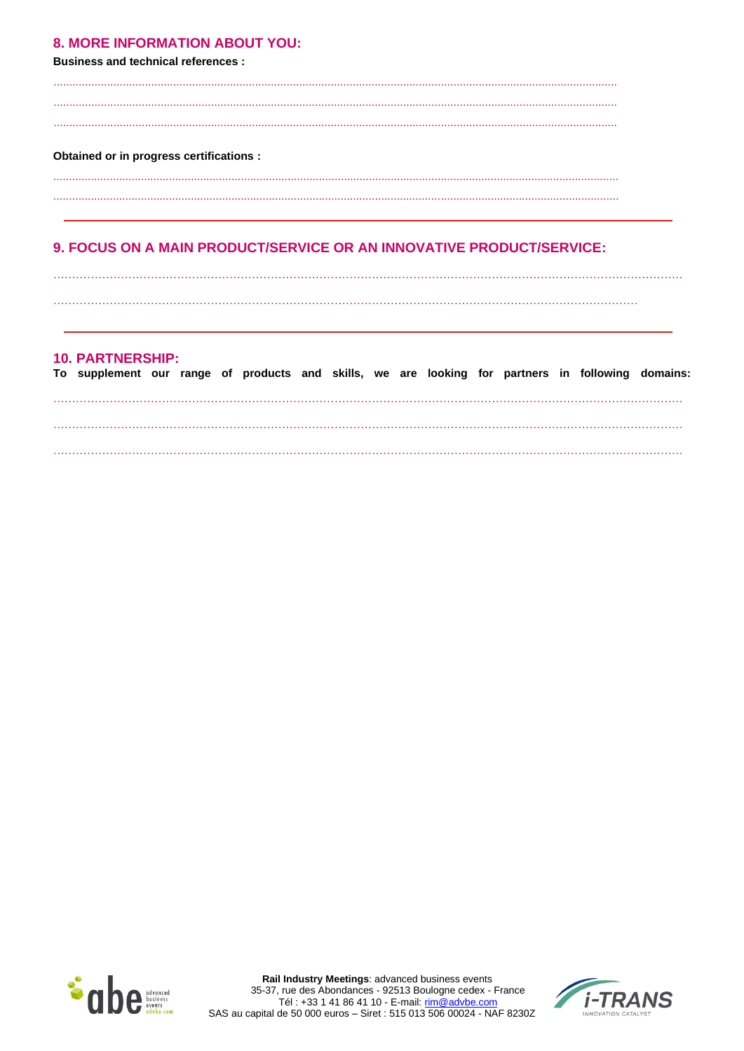# **8. MORE INFORMATION ABOUT YOU:**

**Business and technical references:** 

#### **Obtained or in progress certifications:**

# 9. FOCUS ON A MAIN PRODUCT/SERVICE OR AN INNOVATIVE PRODUCT/SERVICE:

# **10. PARTNERSHIP:**

| To supplement our range of products and skills, we are looking for partners in following domains: |  |  |  |  |  |  |  |
|---------------------------------------------------------------------------------------------------|--|--|--|--|--|--|--|
|                                                                                                   |  |  |  |  |  |  |  |
|                                                                                                   |  |  |  |  |  |  |  |
|                                                                                                   |  |  |  |  |  |  |  |
|                                                                                                   |  |  |  |  |  |  |  |



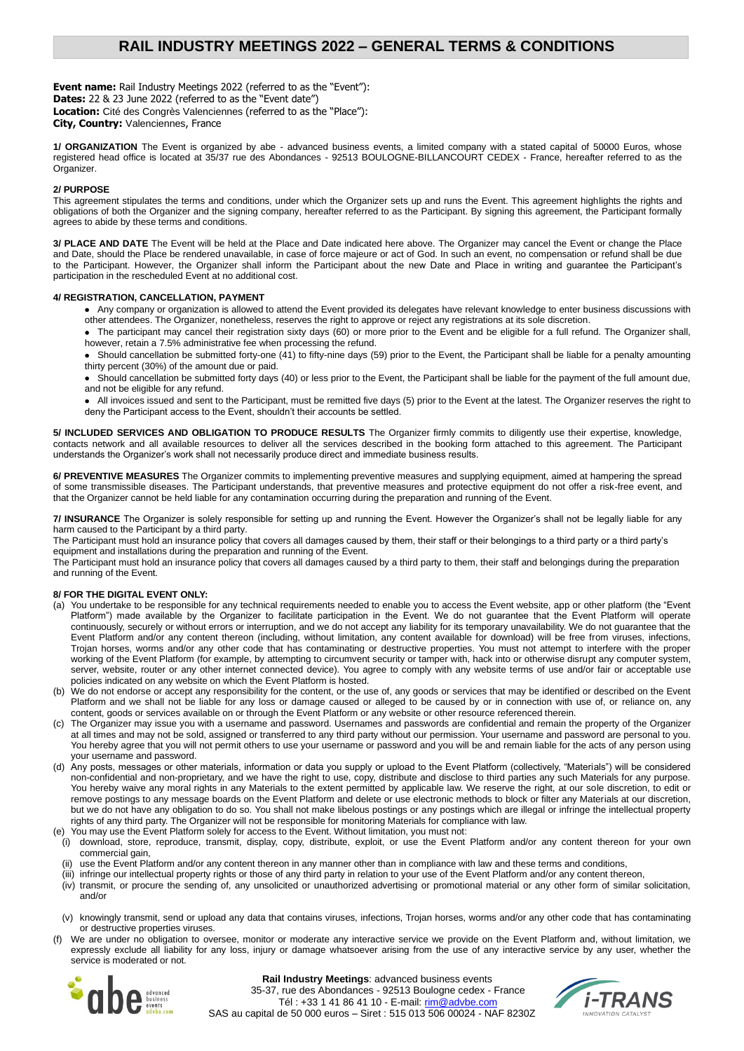# **RAIL INDUSTRY MEETINGS 2022 – GENERAL TERMS & CONDITIONS**

**Event name:** Rail Industry Meetings 2022 (referred to as the "Event"): **Dates:** 22 & 23 June 2022 (referred to as the "Event date") **Location:** Cité des Congrès Valenciennes (referred to as the "Place"): **City, Country:** Valenciennes, France

**1/ ORGANIZATION** The Event is organized by abe - advanced business events, a limited company with a stated capital of 50000 Euros, whose registered head office is located at 35/37 rue des Abondances - 92513 BOULOGNE-BILLANCOURT CEDEX - France, hereafter referred to as the Organizer.

#### **2/ PURPOSE**

This agreement stipulates the terms and conditions, under which the Organizer sets up and runs the Event. This agreement highlights the rights and obligations of both the Organizer and the signing company, hereafter referred to as the Participant. By signing this agreement, the Participant formally agrees to abide by these terms and conditions.

**3/ PLACE AND DATE** The Event will be held at the Place and Date indicated here above. The Organizer may cancel the Event or change the Place and Date, should the Place be rendered unavailable, in case of force majeure or act of God. In such an event, no compensation or refund shall be due to the Participant. However, the Organizer shall inform the Participant about the new Date and Place in writing and guarantee the Participant's participation in the rescheduled Event at no additional cost.

#### **4/ REGISTRATION, CANCELLATION, PAYMENT**

- Any company or organization is allowed to attend the Event provided its delegates have relevant knowledge to enter business discussions with other attendees. The Organizer, nonetheless, reserves the right to approve or reject any registrations at its sole discretion.
- The participant may cancel their registration sixty days (60) or more prior to the Event and be eligible for a full refund. The Organizer shall, however, retain a 7.5% administrative fee when processing the refund.
- Should cancellation be submitted forty-one (41) to fifty-nine days (59) prior to the Event, the Participant shall be liable for a penalty amounting thirty percent (30%) of the amount due or paid.
- Should cancellation be submitted forty days (40) or less prior to the Event, the Participant shall be liable for the payment of the full amount due, and not be eligible for any refund.
- All invoices issued and sent to the Participant, must be remitted five days (5) prior to the Event at the latest. The Organizer reserves the right to deny the Participant access to the Event, shouldn't their accounts be settled.

**5/ INCLUDED SERVICES AND OBLIGATION TO PRODUCE RESULTS** The Organizer firmly commits to diligently use their expertise, knowledge, contacts network and all available resources to deliver all the services described in the booking form attached to this agreement. The Participant understands the Organizer's work shall not necessarily produce direct and immediate business results.

**6/ PREVENTIVE MEASURES** The Organizer commits to implementing preventive measures and supplying equipment, aimed at hampering the spread of some transmissible diseases. The Participant understands, that preventive measures and protective equipment do not offer a risk-free event, and that the Organizer cannot be held liable for any contamination occurring during the preparation and running of the Event.

**7/ INSURANCE** The Organizer is solely responsible for setting up and running the Event. However the Organizer's shall not be legally liable for any harm caused to the Participant by a third party.

The Participant must hold an insurance policy that covers all damages caused by them, their staff or their belongings to a third party or a third party's equipment and installations during the preparation and running of the Event.

The Participant must hold an insurance policy that covers all damages caused by a third party to them, their staff and belongings during the preparation and running of the Event.

#### **8/ FOR THE DIGITAL EVENT ONLY:**

- (a) You undertake to be responsible for any technical requirements needed to enable you to access the Event website, app or other platform (the "Event Platform") made available by the Organizer to facilitate participation in the Event. We do not guarantee that the Event Platform will operate continuously, securely or without errors or interruption, and we do not accept any liability for its temporary unavailability. We do not guarantee that the Event Platform and/or any content thereon (including, without limitation, any content available for download) will be free from viruses, infections, Trojan horses, worms and/or any other code that has contaminating or destructive properties. You must not attempt to interfere with the proper working of the Event Platform (for example, by attempting to circumvent security or tamper with, hack into or otherwise disrupt any computer system, server, website, router or any other internet connected device). You agree to comply with any website terms of use and/or fair or acceptable use policies indicated on any website on which the Event Platform is hosted.
- (b) We do not endorse or accept any responsibility for the content, or the use of, any goods or services that may be identified or described on the Event Platform and we shall not be liable for any loss or damage caused or alleged to be caused by or in connection with use of, or reliance on, any content, goods or services available on or through the Event Platform or any website or other resource referenced therein.
- The Organizer may issue you with a username and password. Usernames and passwords are confidential and remain the property of the Organizer at all times and may not be sold, assigned or transferred to any third party without our permission. Your username and password are personal to you. You hereby agree that you will not permit others to use your username or password and you will be and remain liable for the acts of any person using your username and password.
- (d) Any posts, messages or other materials, information or data you supply or upload to the Event Platform (collectively, "Materials") will be considered non-confidential and non-proprietary, and we have the right to use, copy, distribute and disclose to third parties any such Materials for any purpose. You hereby waive any moral rights in any Materials to the extent permitted by applicable law. We reserve the right, at our sole discretion, to edit or remove postings to any message boards on the Event Platform and delete or use electronic methods to block or filter any Materials at our discretion, but we do not have any obligation to do so. You shall not make libelous postings or any postings which are illegal or infringe the intellectual property rights of any third party. The Organizer will not be responsible for monitoring Materials for compliance with law.
- (e) You may use the Event Platform solely for access to the Event. Without limitation, you must not:
- (i) download, store, reproduce, transmit, display, copy, distribute, exploit, or use the Event Platform and/or any content thereon for your own commercial gain,
- use the Event Platform and/or any content thereon in any manner other than in compliance with law and these terms and conditions,
- (iii) infringe our intellectual property rights or those of any third party in relation to your use of the Event Platform and/or any content thereon,
- (iv) transmit, or procure the sending of, any unsolicited or unauthorized advertising or promotional material or any other form of similar solicitation, and/or
- (v) knowingly transmit, send or upload any data that contains viruses, infections, Trojan horses, worms and/or any other code that has contaminating or destructive properties viruses.
- (f) We are under no obligation to oversee, monitor or moderate any interactive service we provide on the Event Platform and, without limitation, we expressly exclude all liability for any loss, injury or damage whatsoever arising from the use of any interactive service by any user, whether the service is moderated or not.



**Rail Industry Meetings**: advanced business events 35-37, rue des Abondances - 92513 Boulogne cedex - France Tél : +33 1 41 86 41 10 - E-mail[: rim@advbe.com](mailto:rim@advbe.com) SAS au capital de 50 000 euros – Siret : 515 013 506 00024 - NAF 8230Z